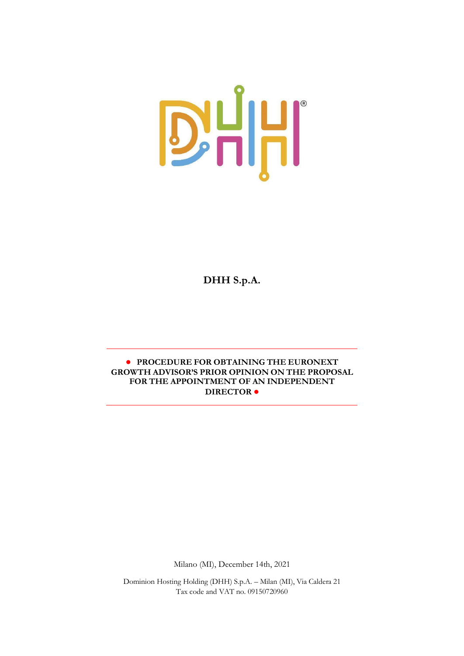

**DHH S.p.A.** 

# **● PROCEDURE FOR OBTAINING THE EURONEXT GROWTH ADVISOR'S PRIOR OPINION ON THE PROPOSAL FOR THE APPOINTMENT OF AN INDEPENDENT DIRECTOR ●**

Milano (MI), December 14th, 2021

Dominion Hosting Holding (DHH) S.p.A. – Milan (MI), Via Caldera 21 Tax code and VAT no. 09150720960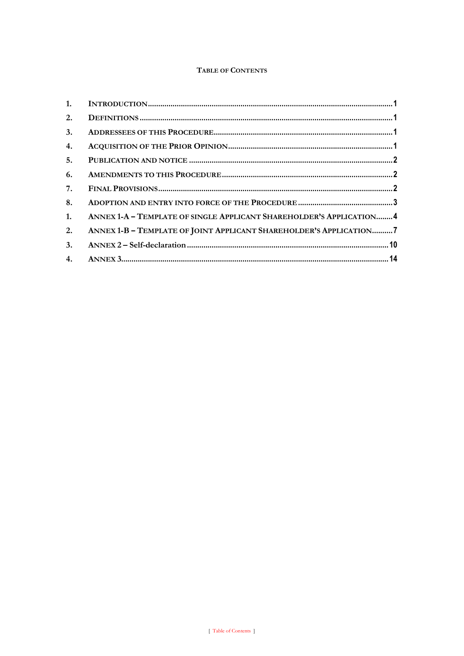# TABLE OF CONTENTS

| 2. |                                                                      |  |
|----|----------------------------------------------------------------------|--|
| 3. |                                                                      |  |
| 4. |                                                                      |  |
| 5. |                                                                      |  |
| 6. |                                                                      |  |
| 7. |                                                                      |  |
| 8. |                                                                      |  |
| 1. | ANNEX 1-A - TEMPLATE OF SINGLE APPLICANT SHAREHOLDER'S APPLICATION 4 |  |
| 2. | ANNEX 1-B - TEMPLATE OF JOINT APPLICANT SHAREHOLDER'S APPLICATION7   |  |
| 3. |                                                                      |  |
|    |                                                                      |  |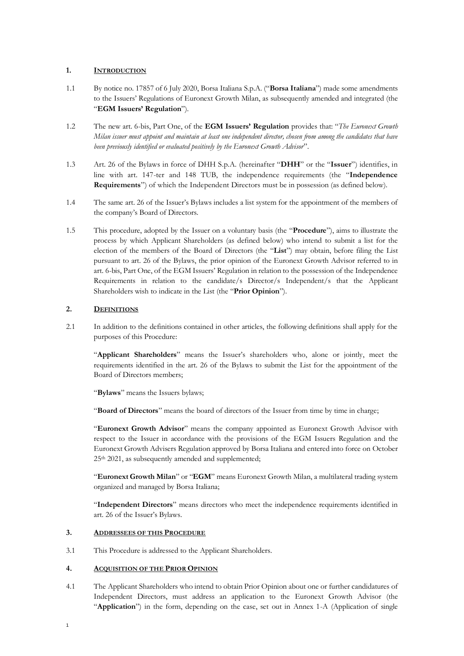## <span id="page-2-0"></span>**1. INTRODUCTION**

- 1.1 By notice no. 17857 of 6 July 2020, Borsa Italiana S.p.A. ("**Borsa Italiana**") made some amendments to the Issuers' Regulations of Euronext Growth Milan, as subsequently amended and integrated (the "**EGM Issuers' Regulation**").
- 1.2 The new art. 6-bis, Part One, of the **EGM Issuers' Regulation** provides that: "*The Euronext Growth Milan issuer must appoint and maintain at least one independent director, chosen from among the candidates that have been previously identified or evaluated positively by the Euronext Growth Advisor*".
- 1.3 Art. 26 of the Bylaws in force of DHH S.p.A. (hereinafter "**DHH**" or the "**Issuer**") identifies, in line with art. 147-ter and 148 TUB, the independence requirements (the "**Independence Requirements**") of which the Independent Directors must be in possession (as defined below).
- 1.4 The same art. 26 of the Issuer's Bylaws includes a list system for the appointment of the members of the company's Board of Directors.
- 1.5 This procedure, adopted by the Issuer on a voluntary basis (the "**Procedure**"), aims to illustrate the process by which Applicant Shareholders (as defined below) who intend to submit a list for the election of the members of the Board of Directors (the "**List**") may obtain, before filing the List pursuant to art. 26 of the Bylaws, the prior opinion of the Euronext Growth Advisor referred to in art. 6-bis, Part One, of the EGM Issuers' Regulation in relation to the possession of the Independence Requirements in relation to the candidate/s Director/s Independent/s that the Applicant Shareholders wish to indicate in the List (the "**Prior Opinion**").

## <span id="page-2-1"></span>**2. DEFINITIONS**

2.1 In addition to the definitions contained in other articles, the following definitions shall apply for the purposes of this Procedure:

"**Applicant Shareholders**" means the Issuer's shareholders who, alone or jointly, meet the requirements identified in the art. 26 of the Bylaws to submit the List for the appointment of the Board of Directors members;

"**Bylaws**" means the Issuers bylaws;

"**Board of Directors**" means the board of directors of the Issuer from time by time in charge;

"**Euronext Growth Advisor**" means the company appointed as Euronext Growth Advisor with respect to the Issuer in accordance with the provisions of the EGM Issuers Regulation and the Euronext Growth Advisers Regulation approved by Borsa Italiana and entered into force on October 25th 2021, as subsequently amended and supplemented;

"**Euronext Growth Milan**" or "**EGM**" means Euronext Growth Milan, a multilateral trading system organized and managed by Borsa Italiana;

"**Independent Directors**" means directors who meet the independence requirements identified in art. 26 of the Issuer's Bylaws.

### <span id="page-2-2"></span>**3. ADDRESSEES OF THIS PROCEDURE**

3.1 This Procedure is addressed to the Applicant Shareholders.

## <span id="page-2-3"></span>**4. ACQUISITION OF THE PRIOR OPINION**

1

4.1 The Applicant Shareholders who intend to obtain Prior Opinion about one or further candidatures of Independent Directors, must address an application to the Euronext Growth Advisor (the "**Application**") in the form, depending on the case, set out in Annex 1-A (Application of single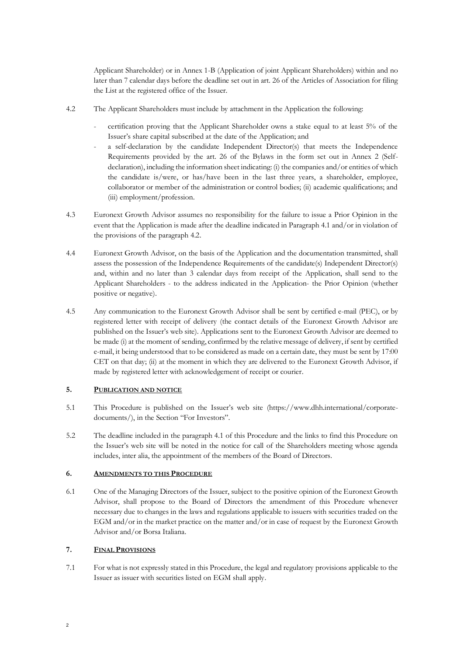Applicant Shareholder) or in Annex 1-B (Application of joint Applicant Shareholders) within and no later than 7 calendar days before the deadline set out in art. 26 of the Articles of Association for filing the List at the registered office of the Issuer.

- 4.2 The Applicant Shareholders must include by attachment in the Application the following:
	- certification proving that the Applicant Shareholder owns a stake equal to at least 5% of the Issuer's share capital subscribed at the date of the Application; and
	- a self-declaration by the candidate Independent Director(s) that meets the Independence Requirements provided by the art. 26 of the Bylaws in the form set out in Annex 2 (Selfdeclaration), including the information sheet indicating: (i) the companies and/or entities of which the candidate is/were, or has/have been in the last three years, a shareholder, employee, collaborator or member of the administration or control bodies; (ii) academic qualifications; and (iii) employment/profession.
- 4.3 Euronext Growth Advisor assumes no responsibility for the failure to issue a Prior Opinion in the event that the Application is made after the deadline indicated in Paragraph 4.1 and/or in violation of the provisions of the paragraph 4.2.
- 4.4 Euronext Growth Advisor, on the basis of the Application and the documentation transmitted, shall assess the possession of the Independence Requirements of the candidate(s) Independent Director(s) and, within and no later than 3 calendar days from receipt of the Application, shall send to the Applicant Shareholders - to the address indicated in the Application- the Prior Opinion (whether positive or negative).
- 4.5 Any communication to the Euronext Growth Advisor shall be sent by certified e-mail (PEC), or by registered letter with receipt of delivery (the contact details of the Euronext Growth Advisor are published on the Issuer's web site). Applications sent to the Euronext Growth Advisor are deemed to be made (i) at the moment of sending, confirmed by the relative message of delivery, if sent by certified e-mail, it being understood that to be considered as made on a certain date, they must be sent by 17:00 CET on that day; (ii) at the moment in which they are delivered to the Euronext Growth Advisor, if made by registered letter with acknowledgement of receipt or courier.

## <span id="page-3-0"></span>**5. PUBLICATION AND NOTICE**

- 5.1 This Procedure is published on the Issuer's web site (https://www.dhh.international/corporatedocuments/), in the Section "For Investors".
- 5.2 The deadline included in the paragraph 4.1 of this Procedure and the links to find this Procedure on the Issuer's web site will be noted in the notice for call of the Shareholders meeting whose agenda includes, inter alia, the appointment of the members of the Board of Directors.

### <span id="page-3-1"></span>**6. AMENDMENTS TO THIS PROCEDURE**

6.1 One of the Managing Directors of the Issuer, subject to the positive opinion of the Euronext Growth Advisor, shall propose to the Board of Directors the amendment of this Procedure whenever necessary due to changes in the laws and regulations applicable to issuers with securities traded on the EGM and/or in the market practice on the matter and/or in case of request by the Euronext Growth Advisor and/or Borsa Italiana.

## <span id="page-3-2"></span>**7. FINAL PROVISIONS**

7.1 For what is not expressly stated in this Procedure, the legal and regulatory provisions applicable to the Issuer as issuer with securities listed on EGM shall apply.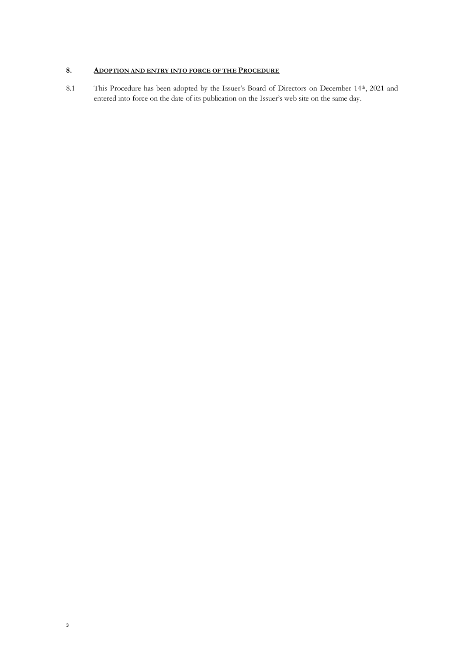# <span id="page-4-0"></span>**8. ADOPTION AND ENTRY INTO FORCE OF THE PROCEDURE**

8.1 This Procedure has been adopted by the Issuer's Board of Directors on December 14th, 2021 and entered into force on the date of its publication on the Issuer's web site on the same day.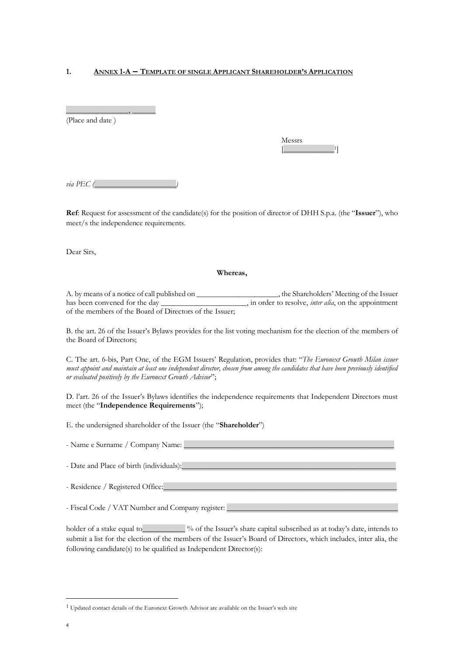### <span id="page-5-0"></span>**1. ANNEX 1-A – TEMPLATE OF SINGLE APPLICANT SHAREHOLDER'<sup>S</sup> APPLICATION**

(Place and date )

\_\_\_\_\_\_\_\_\_\_\_\_\_\_\_\_, \_\_\_\_\_\_

| lessrs<br>Ľ |  |
|-------------|--|
|             |  |

 $via$   $PEC$   $($ 

**Ref**: Request for assessment of the candidate(s) for the position of director of DHH S.p.a. (the "**Issuer**"), who meet/s the independence requirements.

Dear Sirs,

#### **Whereas,**

A. by means of a notice of call published on \_\_\_\_\_\_\_\_\_\_\_\_\_, in order to resolve, *inter alia*, on the appointment has been convened for the day \_\_\_\_\_\_\_\_\_\_\_\_\_\_, in order to resolve, *inter alia*, on the appointment in order to resolve, *inter alia*, on the appointment of the members of the Board of Directors of the Issuer;

B. the art. 26 of the Issuer's Bylaws provides for the list voting mechanism for the election of the members of the Board of Directors;

C. The art. 6-bis, Part One, of the EGM Issuers' Regulation, provides that: "*The Euronext Growth Milan issuer must appoint and maintain at least one independent director, chosen from among the candidates that have been previously identified or evaluated positively by the Euronext Growth Advisor*";

D. l'art. 26 of the Issuer's Bylaws identifies the independence requirements that Independent Directors must meet (the "**Independence Requirements**");

E. the undersigned shareholder of the Issuer (the "**Shareholder**")

- Name e Surname / Company Name: \_\_\_\_\_\_\_\_\_\_\_\_\_\_\_\_\_\_\_\_\_\_\_\_\_\_\_\_\_\_\_\_\_\_\_\_\_\_\_\_\_\_\_\_\_\_\_\_\_\_\_\_\_\_ - Date and Place of birth (individuals):

- Residence / Registered Office:

- Fiscal Code / VAT Number and Company register:

holder of a stake equal to  $\frac{1}{2}$  % of the Issuer's share capital subscribed as at today's date, intends to submit a list for the election of the members of the Issuer's Board of Directors, which includes, inter alia, the following candidate(s) to be qualified as Independent Director(s):

<sup>&</sup>lt;sup>1</sup> Updated contact details of the Euronext Growth Advisor are available on the Issuer's web site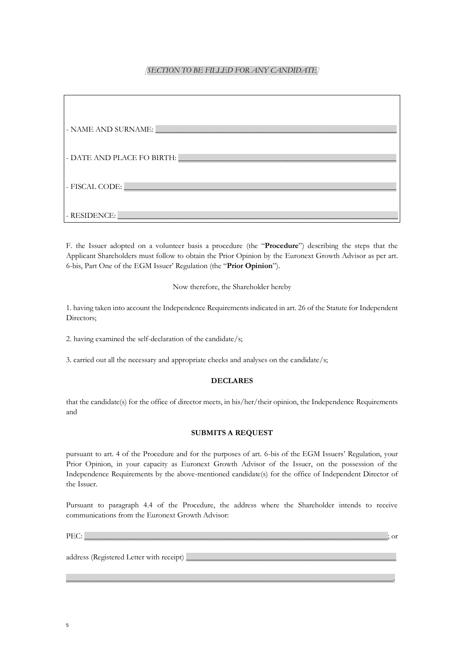## *[SECTION TO BE FILLED FOR ANY CANDIDATE]*

| - NAME AND SURNAME:        |
|----------------------------|
| - DATE AND PLACE FO BIRTH: |
| - FISCAL CODE:             |
| - RESIDENCE:               |

F. the Issuer adopted on a volunteer basis a procedure (the "**Procedure**") describing the steps that the Applicant Shareholders must follow to obtain the Prior Opinion by the Euronext Growth Advisor as per art. 6-bis, Part One of the EGM Issuer' Regulation (the "**Prior Opinion**").

Now therefore, the Shareholder hereby

1. having taken into account the Independence Requirements indicated in art. 26 of the Statute for Independent Directors;

2. having examined the self-declaration of the candidate/s;

3. carried out all the necessary and appropriate checks and analyses on the candidate/s;

### **DECLARES**

that the candidate(s) for the office of director meets, in his/her/their opinion, the Independence Requirements and

### **SUBMITS A REQUEST**

pursuant to art. 4 of the Procedure and for the purposes of art. 6-bis of the EGM Issuers' Regulation, your Prior Opinion, in your capacity as Euronext Growth Advisor of the Issuer, on the possession of the Independence Requirements by the above-mentioned candidate(s) for the office of Independent Director of the Issuer.

Pursuant to paragraph 4.4 of the Procedure, the address where the Shareholder intends to receive communications from the Euronext Growth Advisor:

 $\overline{\phantom{a}}$  , and the contribution of the contribution of the contribution of the contribution of the contribution of the contribution of the contribution of the contribution of the contribution of the contribution of the

PEC: \_\_\_\_\_\_\_\_\_\_\_\_\_\_\_\_\_\_\_\_\_\_\_\_\_\_\_\_\_\_\_\_\_\_\_\_\_\_\_\_\_\_\_\_\_\_\_\_\_\_\_\_\_\_\_\_\_\_\_\_\_\_\_\_\_\_\_\_\_\_\_\_\_\_\_\_\_\_; or

address (Registered Letter with receipt) \_\_\_\_\_\_\_\_\_\_\_\_\_\_\_\_\_\_\_\_\_\_\_\_\_\_\_\_\_\_\_\_\_\_\_\_\_\_\_\_\_\_\_\_\_\_\_\_\_\_\_\_\_\_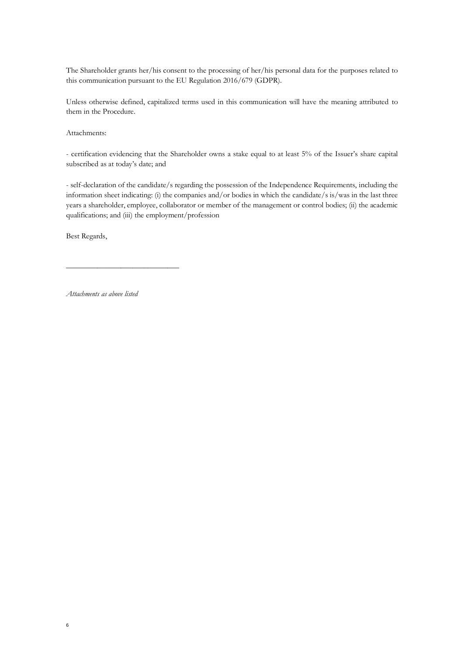The Shareholder grants her/his consent to the processing of her/his personal data for the purposes related to this communication pursuant to the EU Regulation 2016/679 (GDPR).

Unless otherwise defined, capitalized terms used in this communication will have the meaning attributed to them in the Procedure.

Attachments:

- certification evidencing that the Shareholder owns a stake equal to at least 5% of the Issuer's share capital subscribed as at today's date; and

- self-declaration of the candidate/s regarding the possession of the Independence Requirements, including the information sheet indicating: (i) the companies and/or bodies in which the candidate/s is/was in the last three years a shareholder, employee, collaborator or member of the management or control bodies; (ii) the academic qualifications; and (iii) the employment/profession

Best Regards,

6

*Attachments as above listed*

\_\_\_\_\_\_\_\_\_\_\_\_\_\_\_\_\_\_\_\_\_\_\_\_\_\_\_\_\_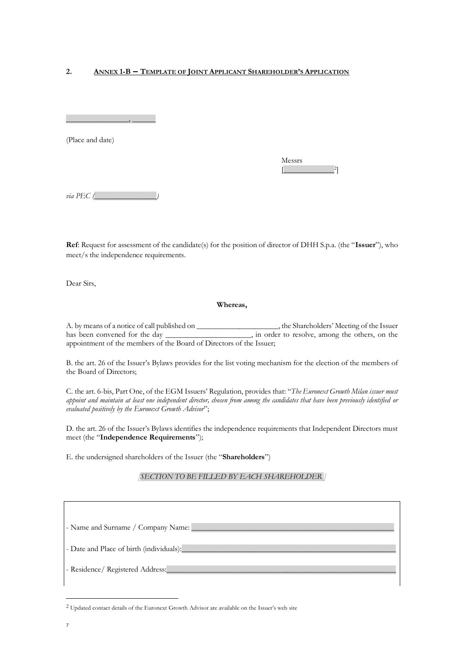### <span id="page-8-0"></span>**2. ANNEX 1-B – TEMPLATE OF JOINT APPLICANT SHAREHOLDER'<sup>S</sup> APPLICATION**

\_\_\_\_\_\_\_\_\_\_\_\_\_\_\_\_, \_\_\_\_\_\_

(Place and date)

| Messrs |  |
|--------|--|
|        |  |

*via PEC* (

**Ref**: Request for assessment of the candidate(s) for the position of director of DHH S.p.a. (the "**Issuer**"), who meet/s the independence requirements.

Dear Sirs,

## **Whereas,**

A. by means of a notice of call published on \_\_\_\_\_\_\_\_\_\_\_\_\_\_\_\_\_\_, the Shareholders' Meeting of the Issuer has been convened for the day \_\_\_\_\_\_\_\_\_\_\_\_\_\_\_\_, in order to resolve, among the others, on the appointment of the members of the Board of Directors of the Issuer;

B. the art. 26 of the Issuer's Bylaws provides for the list voting mechanism for the election of the members of the Board of Directors;

C. the art. 6-bis, Part One, of the EGM Issuers' Regulation, provides that: "*The Euronext Growth Milan issuer must appoint and maintain at least one independent director, chosen from among the candidates that have been previously identified or evaluated positively by the Euronext Growth Advisor*";

D. the art. 26 of the Issuer's Bylaws identifies the independence requirements that Independent Directors must meet (the "**Independence Requirements**");

E. the undersigned shareholders of the Issuer (the "**Shareholders**")

## *[SECTION TO BE FILLED BY EACH SHAREHOLDER ]*

| - Name and Surname / Company Name: ______ |
|-------------------------------------------|
| - Date and Place of birth (individuals):  |
| - Residence/ Registered Address:          |

<sup>&</sup>lt;sup>2</sup> Updated contact details of the Euronext Growth Advisor are available on the Issuer's web site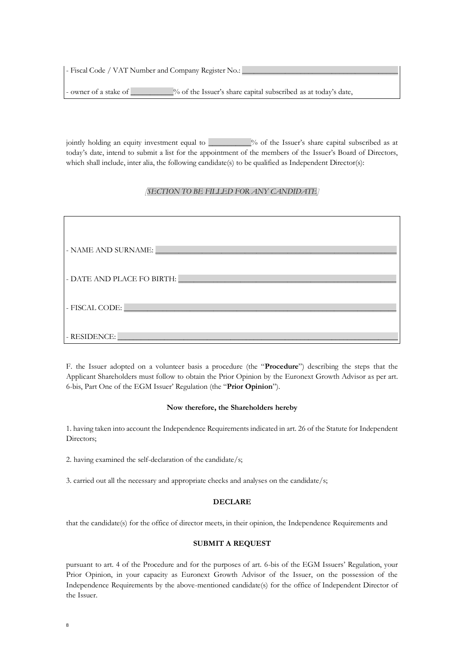- Fiscal Code / VAT Number and Company Register No.:

- owner of a stake of  $\%$  of the Issuer's share capital subscribed as at today's date,

jointly holding an equity investment equal to  $\frac{9}{2}$  of the Issuer's share capital subscribed as at today's date, intend to submit a list for the appointment of the members of the Issuer's Board of Directors, which shall include, inter alia, the following candidate(s) to be qualified as Independent Director(s):

### *[SECTION TO BE FILLED FOR ANY CANDIDATE]*

| - NAME AND SURNAME:        |
|----------------------------|
| - DATE AND PLACE FO BIRTH: |
| - FISCAL CODE:             |
| - RESIDENCE:               |

F. the Issuer adopted on a volunteer basis a procedure (the "**Procedure**") describing the steps that the Applicant Shareholders must follow to obtain the Prior Opinion by the Euronext Growth Advisor as per art. 6-bis, Part One of the EGM Issuer' Regulation (the "**Prior Opinion**").

#### **Now therefore, the Shareholders hereby**

1. having taken into account the Independence Requirements indicated in art. 26 of the Statute for Independent Directors;

2. having examined the self-declaration of the candidate/s;

3. carried out all the necessary and appropriate checks and analyses on the candidate/s;

#### **DECLARE**

that the candidate(s) for the office of director meets, in their opinion, the Independence Requirements and

#### **SUBMIT A REQUEST**

pursuant to art. 4 of the Procedure and for the purposes of art. 6-bis of the EGM Issuers' Regulation, your Prior Opinion, in your capacity as Euronext Growth Advisor of the Issuer, on the possession of the Independence Requirements by the above-mentioned candidate(s) for the office of Independent Director of the Issuer.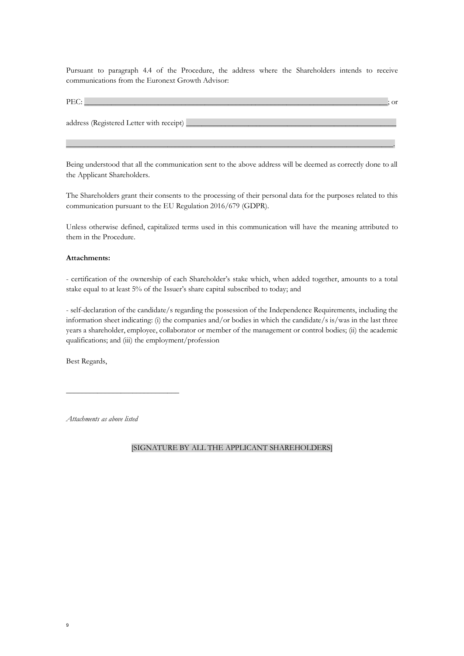Pursuant to paragraph 4.4 of the Procedure, the address where the Shareholders intends to receive communications from the Euronext Growth Advisor:

| PEC:                                       | <b>or</b> |
|--------------------------------------------|-----------|
| address (Registered Letter with receipt) _ |           |

Being understood that all the communication sent to the above address will be deemed as correctly done to all the Applicant Shareholders.

 $\overline{\phantom{a}}$  , and the contribution of the contribution of the contribution of the contribution of the contribution of the contribution of the contribution of the contribution of the contribution of the contribution of the

The Shareholders grant their consents to the processing of their personal data for the purposes related to this communication pursuant to the EU Regulation 2016/679 (GDPR).

Unless otherwise defined, capitalized terms used in this communication will have the meaning attributed to them in the Procedure.

#### **Attachments:**

- certification of the ownership of each Shareholder's stake which, when added together, amounts to a total stake equal to at least 5% of the Issuer's share capital subscribed to today; and

- self-declaration of the candidate/s regarding the possession of the Independence Requirements, including the information sheet indicating: (i) the companies and/or bodies in which the candidate/s is/was in the last three years a shareholder, employee, collaborator or member of the management or control bodies; (ii) the academic qualifications; and (iii) the employment/profession

Best Regards,

*Attachments as above listed*

\_\_\_\_\_\_\_\_\_\_\_\_\_\_\_\_\_\_\_\_\_\_\_\_\_\_\_\_\_

[SIGNATURE BY ALL THE APPLICANT SHAREHOLDERS]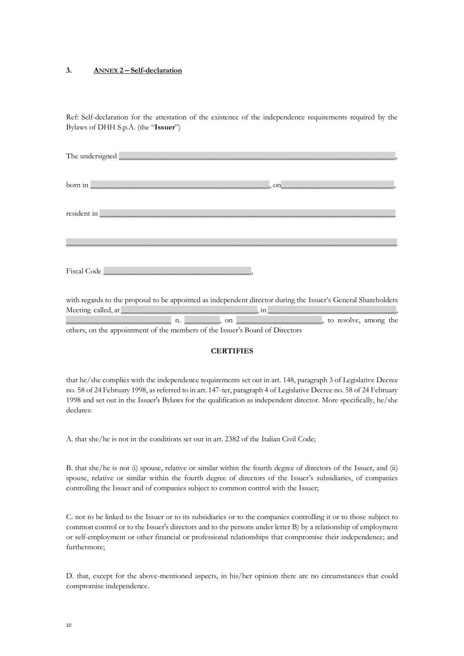### <span id="page-11-0"></span>**3. ANNEX 2 – Self-declaration**

Ref: Self-declaration for the attestation of the existence of the independence requirements required by the Bylaws of DHH S.p.A. (the "**Issuer**")

| born in                                                                                                                             | on                                                                                                                                      |  |
|-------------------------------------------------------------------------------------------------------------------------------------|-----------------------------------------------------------------------------------------------------------------------------------------|--|
|                                                                                                                                     |                                                                                                                                         |  |
|                                                                                                                                     |                                                                                                                                         |  |
|                                                                                                                                     |                                                                                                                                         |  |
| with regards to the proposal to be appointed as independent director during the Issuer's General Shareholders<br>Meeting called, at | <u> 1980 - Johann Barn, mars eta bainar eta bat erroman erroman erroman erroman erroman erroman erroman erroman e</u><br>$\lfloor$ , in |  |

n. The contract of the contract of the contract of the contract of the contract of the contract of the contract of the contract of the contract of the contract of the contract of the contract of the contract of the contrac

others, on the appointment of the members of the Issuer's Board of Directors

### **CERTIFIES**

that he/she complies with the independence requirements set out in art. 148, paragraph 3 of Legislative Decree no. 58 of 24 February 1998, as referred to in art. 147-ter, paragraph 4 of Legislative Decree no. 58 of 24 February 1998 and set out in the Issuer's Bylaws for the qualification as independent director. More specifically, he/she declares:

A. that she/he is not in the conditions set out in art. 2382 of the Italian Civil Code;

B. that she/he is not (i) spouse, relative or similar within the fourth degree of directors of the Issuer, and (ii) spouse, relative or similar within the fourth degree of directors of the Issuer's subsidiaries, of companies controlling the Issuer and of companies subject to common control with the Issuer;

C. not to be linked to the Issuer or to its subsidiaries or to the companies controlling it or to those subject to common control or to the Issuer's directors and to the persons under letter B) by a relationship of employment or self-employment or other financial or professional relationships that compromise their independence; and furthermore;

D. that, except for the above-mentioned aspects, in his/her opinion there are no circumstances that could compromise independence.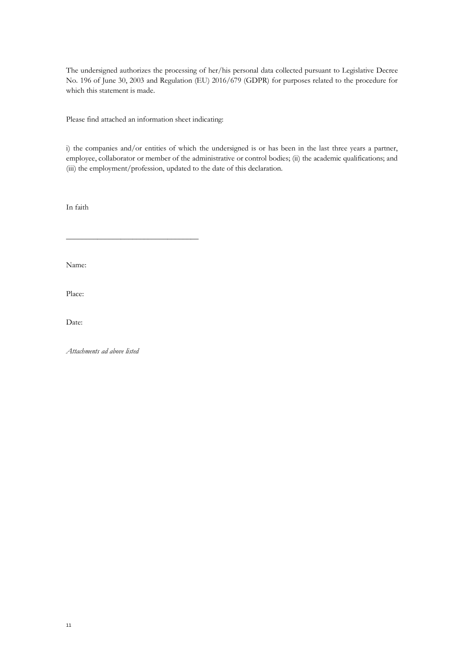The undersigned authorizes the processing of her/his personal data collected pursuant to Legislative Decree No. 196 of June 30, 2003 and Regulation (EU) 2016/679 (GDPR) for purposes related to the procedure for which this statement is made.

Please find attached an information sheet indicating:

\_\_\_\_\_\_\_\_\_\_\_\_\_\_\_\_\_\_\_\_\_\_\_\_\_\_\_\_\_\_\_\_\_\_

i) the companies and/or entities of which the undersigned is or has been in the last three years a partner, employee, collaborator or member of the administrative or control bodies; (ii) the academic qualifications; and (iii) the employment/profession, updated to the date of this declaration.

In faith

Name:

Place:

Date:

*Attachments ad above listed*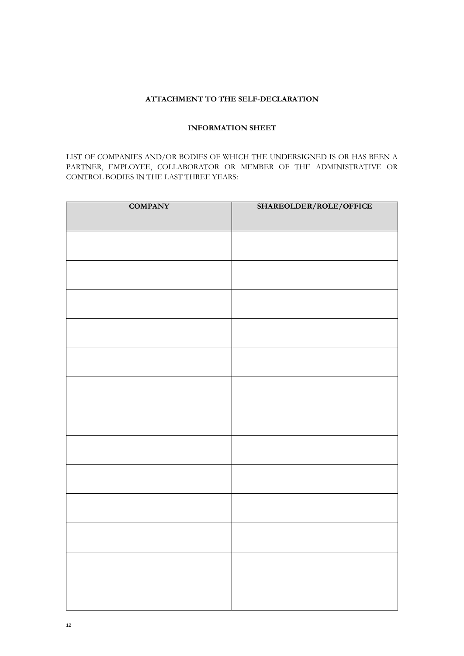# **ATTACHMENT TO THE SELF-DECLARATION**

## **INFORMATION SHEET**

LIST OF COMPANIES AND/OR BODIES OF WHICH THE UNDERSIGNED IS OR HAS BEEN A PARTNER, EMPLOYEE, COLLABORATOR OR MEMBER OF THE ADMINISTRATIVE OR CONTROL BODIES IN THE LAST THREE YEARS:

| <b>COMPANY</b> | SHAREOLDER/ROLE/OFFICE |
|----------------|------------------------|
|                |                        |
|                |                        |
|                |                        |
|                |                        |
|                |                        |
|                |                        |
|                |                        |
|                |                        |
|                |                        |
|                |                        |
|                |                        |
|                |                        |
|                |                        |
|                |                        |
|                |                        |
|                |                        |
|                |                        |
|                |                        |
|                |                        |
|                |                        |
|                |                        |
|                |                        |
|                |                        |
|                |                        |
|                |                        |
|                |                        |
|                |                        |
|                |                        |
|                |                        |
|                |                        |
|                |                        |
|                |                        |
|                |                        |
|                |                        |
|                |                        |
|                |                        |
|                |                        |
|                |                        |
|                |                        |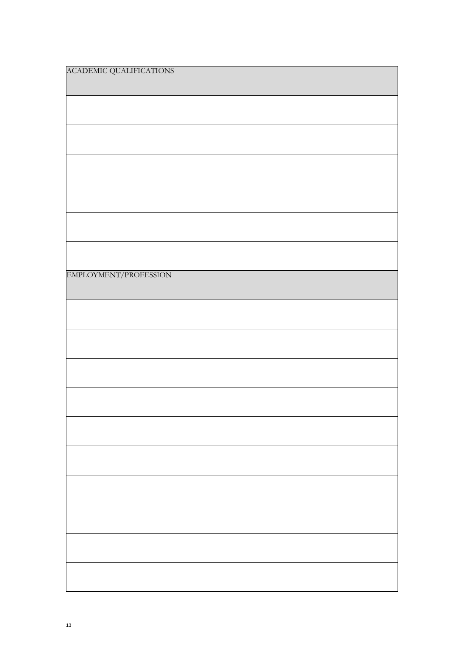| ACADEMIC QUALIFICATIONS |
|-------------------------|
|                         |
|                         |
|                         |
|                         |
|                         |
|                         |
| EMPLOYMENT/PROFESSION   |
|                         |
|                         |
|                         |
|                         |
|                         |
|                         |
|                         |
|                         |
|                         |
|                         |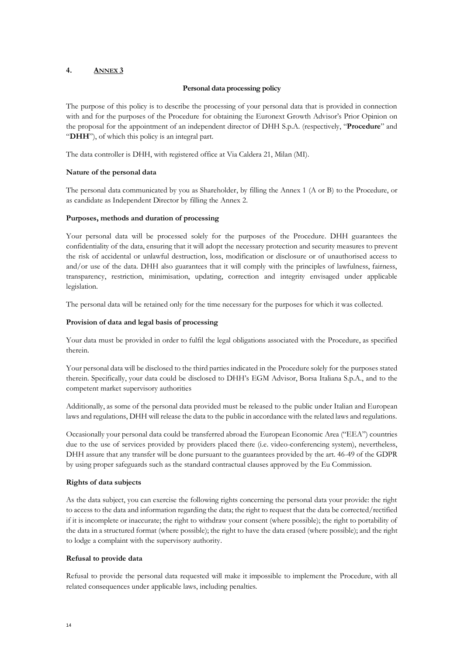## <span id="page-15-0"></span>**4. ANNEX 3**

### **Personal data processing policy**

The purpose of this policy is to describe the processing of your personal data that is provided in connection with and for the purposes of the Procedure for obtaining the Euronext Growth Advisor's Prior Opinion on the proposal for the appointment of an independent director of DHH S.p.A. (respectively, "**Procedure**" and "**DHH**"), of which this policy is an integral part.

The data controller is DHH, with registered office at Via Caldera 21, Milan (MI).

## **Nature of the personal data**

The personal data communicated by you as Shareholder, by filling the Annex 1 (A or B) to the Procedure, or as candidate as Independent Director by filling the Annex 2.

## **Purposes, methods and duration of processing**

Your personal data will be processed solely for the purposes of the Procedure. DHH guarantees the confidentiality of the data, ensuring that it will adopt the necessary protection and security measures to prevent the risk of accidental or unlawful destruction, loss, modification or disclosure or of unauthorised access to and/or use of the data. DHH also guarantees that it will comply with the principles of lawfulness, fairness, transparency, restriction, minimisation, updating, correction and integrity envisaged under applicable legislation.

The personal data will be retained only for the time necessary for the purposes for which it was collected.

## **Provision of data and legal basis of processing**

Your data must be provided in order to fulfil the legal obligations associated with the Procedure, as specified therein.

Your personal data will be disclosed to the third parties indicated in the Procedure solely for the purposes stated therein. Specifically, your data could be disclosed to DHH's EGM Advisor, Borsa Italiana S.p.A., and to the competent market supervisory authorities

Additionally, as some of the personal data provided must be released to the public under Italian and European laws and regulations, DHH will release the data to the public in accordance with the related laws and regulations.

Occasionally your personal data could be transferred abroad the European Economic Area ("EEA") countries due to the use of services provided by providers placed there (i.e. video-conferencing system), nevertheless, DHH assure that any transfer will be done pursuant to the guarantees provided by the art. 46-49 of the GDPR by using proper safeguards such as the standard contractual clauses approved by the Eu Commission.

## **Rights of data subjects**

As the data subject, you can exercise the following rights concerning the personal data your provide: the right to access to the data and information regarding the data; the right to request that the data be corrected/rectified if it is incomplete or inaccurate; the right to withdraw your consent (where possible); the right to portability of the data in a structured format (where possible); the right to have the data erased (where possible); and the right to lodge a complaint with the supervisory authority.

### **Refusal to provide data**

Refusal to provide the personal data requested will make it impossible to implement the Procedure, with all related consequences under applicable laws, including penalties.